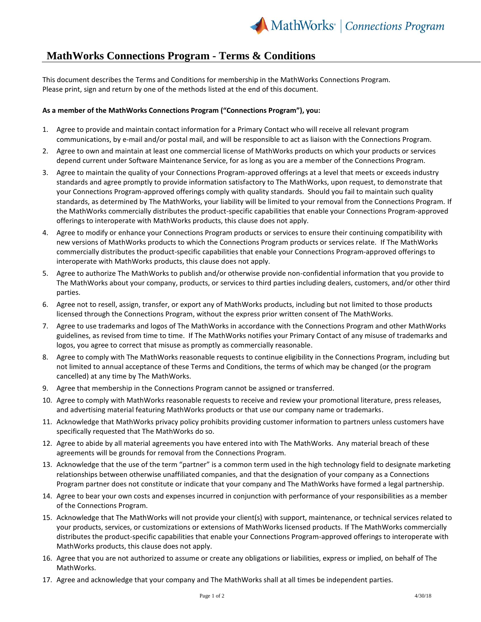## **MathWorks Connections Program - Terms & Conditions**

This document describes the Terms and Conditions for membership in the MathWorks Connections Program. Please print, sign and return by one of the methods listed at the end of this document.

## **As a member of the MathWorks Connections Program ("Connections Program"), you:**

- 1. Agree to provide and maintain contact information for a Primary Contact who will receive all relevant program communications, by e-mail and/or postal mail, and will be responsible to act as liaison with the Connections Program.
- 2. Agree to own and maintain at least one commercial license of MathWorks products on which your products or services depend current under Software Maintenance Service, for as long as you are a member of the Connections Program.
- 3. Agree to maintain the quality of your Connections Program-approved offerings at a level that meets or exceeds industry standards and agree promptly to provide information satisfactory to The MathWorks, upon request, to demonstrate that your Connections Program-approved offerings comply with quality standards. Should you fail to maintain such quality standards, as determined by The MathWorks, your liability will be limited to your removal from the Connections Program. If the MathWorks commercially distributes the product-specific capabilities that enable your Connections Program-approved offerings to interoperate with MathWorks products, this clause does not apply.
- 4. Agree to modify or enhance your Connections Program products or services to ensure their continuing compatibility with new versions of MathWorks products to which the Connections Program products or services relate. If The MathWorks commercially distributes the product-specific capabilities that enable your Connections Program-approved offerings to interoperate with MathWorks products, this clause does not apply.
- 5. Agree to authorize The MathWorks to publish and/or otherwise provide non-confidential information that you provide to The MathWorks about your company, products, or services to third parties including dealers, customers, and/or other third parties.
- 6. Agree not to resell, assign, transfer, or export any of MathWorks products, including but not limited to those products licensed through the Connections Program, without the express prior written consent of The MathWorks.
- 7. Agree to use trademarks and logos of The MathWorks in accordance with the Connections Program and other MathWorks guidelines, as revised from time to time. If The MathWorks notifies your Primary Contact of any misuse of trademarks and logos, you agree to correct that misuse as promptly as commercially reasonable.
- 8. Agree to comply with The MathWorks reasonable requests to continue eligibility in the Connections Program, including but not limited to annual acceptance of these Terms and Conditions, the terms of which may be changed (or the program cancelled) at any time by The MathWorks.
- 9. Agree that membership in the Connections Program cannot be assigned or transferred.
- 10. Agree to comply with MathWorks reasonable requests to receive and review your promotional literature, press releases, and advertising material featuring MathWorks products or that use our company name or trademarks.
- 11. Acknowledge that MathWorks privacy policy prohibits providing customer information to partners unless customers have specifically requested that The MathWorks do so.
- 12. Agree to abide by all material agreements you have entered into with The MathWorks. Any material breach of these agreements will be grounds for removal from the Connections Program.
- 13. Acknowledge that the use of the term "partner" is a common term used in the high technology field to designate marketing relationships between otherwise unaffiliated companies, and that the designation of your company as a Connections Program partner does not constitute or indicate that your company and The MathWorks have formed a legal partnership.
- 14. Agree to bear your own costs and expenses incurred in conjunction with performance of your responsibilities as a member of the Connections Program.
- 15. Acknowledge that The MathWorks will not provide your client(s) with support, maintenance, or technical services related to your products, services, or customizations or extensions of MathWorks licensed products. If The MathWorks commercially distributes the product-specific capabilities that enable your Connections Program-approved offerings to interoperate with MathWorks products, this clause does not apply.
- 16. Agree that you are not authorized to assume or create any obligations or liabilities, express or implied, on behalf of The MathWorks.
- 17. Agree and acknowledge that your company and The MathWorks shall at all times be independent parties.